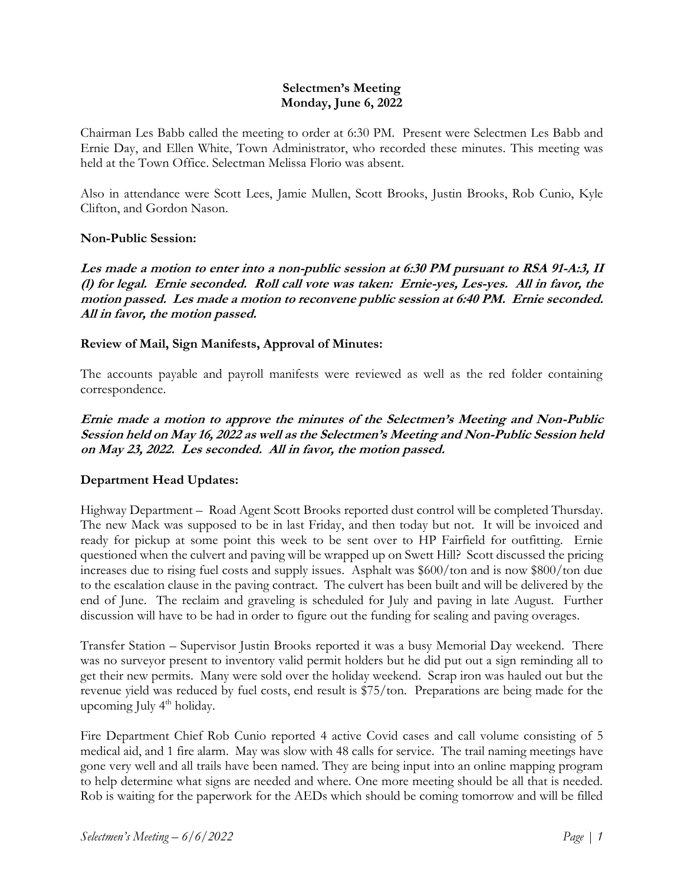#### **Selectmen's Meeting Monday, June 6, 2022**

Chairman Les Babb called the meeting to order at 6:30 PM. Present were Selectmen Les Babb and Ernie Day, and Ellen White, Town Administrator, who recorded these minutes. This meeting was held at the Town Office. Selectman Melissa Florio was absent.

Also in attendance were Scott Lees, Jamie Mullen, Scott Brooks, Justin Brooks, Rob Cunio, Kyle Clifton, and Gordon Nason.

#### **Non-Public Session:**

**Les made a motion to enter into a non-public session at 6:30 PM pursuant to RSA 91-A:3, II (l) for legal. Ernie seconded. Roll call vote was taken: Ernie-yes, Les-yes. All in favor, the motion passed. Les made a motion to reconvene public session at 6:40 PM. Ernie seconded. All in favor, the motion passed.**

#### **Review of Mail, Sign Manifests, Approval of Minutes:**

The accounts payable and payroll manifests were reviewed as well as the red folder containing correspondence.

**Ernie made a motion to approve the minutes of the Selectmen's Meeting and Non-Public Session held on May 16, 2022 as well as the Selectmen's Meeting and Non-Public Session held on May 23, 2022. Les seconded. All in favor, the motion passed.**

## **Department Head Updates:**

Highway Department – Road Agent Scott Brooks reported dust control will be completed Thursday. The new Mack was supposed to be in last Friday, and then today but not. It will be invoiced and ready for pickup at some point this week to be sent over to HP Fairfield for outfitting. Ernie questioned when the culvert and paving will be wrapped up on Swett Hill? Scott discussed the pricing increases due to rising fuel costs and supply issues. Asphalt was \$600/ton and is now \$800/ton due to the escalation clause in the paving contract. The culvert has been built and will be delivered by the end of June. The reclaim and graveling is scheduled for July and paving in late August. Further discussion will have to be had in order to figure out the funding for sealing and paving overages.

Transfer Station – Supervisor Justin Brooks reported it was a busy Memorial Day weekend. There was no surveyor present to inventory valid permit holders but he did put out a sign reminding all to get their new permits. Many were sold over the holiday weekend. Scrap iron was hauled out but the revenue yield was reduced by fuel costs, end result is \$75/ton. Preparations are being made for the upcoming July 4<sup>th</sup> holiday.

Fire Department Chief Rob Cunio reported 4 active Covid cases and call volume consisting of 5 medical aid, and 1 fire alarm. May was slow with 48 calls for service. The trail naming meetings have gone very well and all trails have been named. They are being input into an online mapping program to help determine what signs are needed and where. One more meeting should be all that is needed. Rob is waiting for the paperwork for the AEDs which should be coming tomorrow and will be filled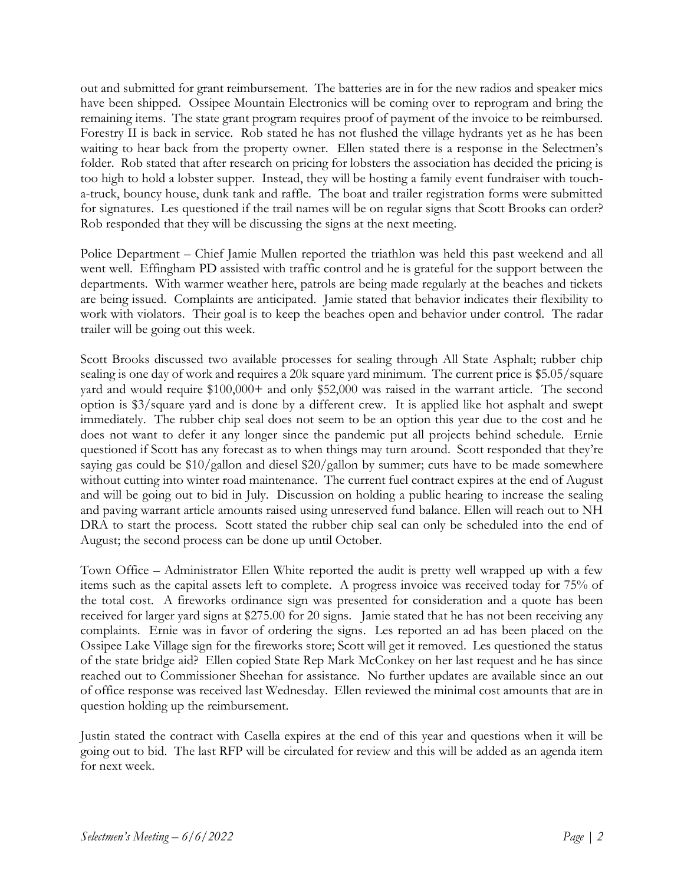out and submitted for grant reimbursement. The batteries are in for the new radios and speaker mics have been shipped. Ossipee Mountain Electronics will be coming over to reprogram and bring the remaining items. The state grant program requires proof of payment of the invoice to be reimbursed. Forestry II is back in service. Rob stated he has not flushed the village hydrants yet as he has been waiting to hear back from the property owner. Ellen stated there is a response in the Selectmen's folder. Rob stated that after research on pricing for lobsters the association has decided the pricing is too high to hold a lobster supper. Instead, they will be hosting a family event fundraiser with toucha-truck, bouncy house, dunk tank and raffle. The boat and trailer registration forms were submitted for signatures. Les questioned if the trail names will be on regular signs that Scott Brooks can order? Rob responded that they will be discussing the signs at the next meeting.

Police Department – Chief Jamie Mullen reported the triathlon was held this past weekend and all went well. Effingham PD assisted with traffic control and he is grateful for the support between the departments. With warmer weather here, patrols are being made regularly at the beaches and tickets are being issued. Complaints are anticipated. Jamie stated that behavior indicates their flexibility to work with violators. Their goal is to keep the beaches open and behavior under control. The radar trailer will be going out this week.

Scott Brooks discussed two available processes for sealing through All State Asphalt; rubber chip sealing is one day of work and requires a 20k square yard minimum. The current price is \$5.05/square yard and would require \$100,000+ and only \$52,000 was raised in the warrant article. The second option is \$3/square yard and is done by a different crew. It is applied like hot asphalt and swept immediately. The rubber chip seal does not seem to be an option this year due to the cost and he does not want to defer it any longer since the pandemic put all projects behind schedule. Ernie questioned if Scott has any forecast as to when things may turn around. Scott responded that they're saying gas could be \$10/gallon and diesel \$20/gallon by summer; cuts have to be made somewhere without cutting into winter road maintenance. The current fuel contract expires at the end of August and will be going out to bid in July. Discussion on holding a public hearing to increase the sealing and paving warrant article amounts raised using unreserved fund balance. Ellen will reach out to NH DRA to start the process. Scott stated the rubber chip seal can only be scheduled into the end of August; the second process can be done up until October.

Town Office – Administrator Ellen White reported the audit is pretty well wrapped up with a few items such as the capital assets left to complete. A progress invoice was received today for 75% of the total cost. A fireworks ordinance sign was presented for consideration and a quote has been received for larger yard signs at \$275.00 for 20 signs. Jamie stated that he has not been receiving any complaints. Ernie was in favor of ordering the signs. Les reported an ad has been placed on the Ossipee Lake Village sign for the fireworks store; Scott will get it removed. Les questioned the status of the state bridge aid? Ellen copied State Rep Mark McConkey on her last request and he has since reached out to Commissioner Sheehan for assistance. No further updates are available since an out of office response was received last Wednesday. Ellen reviewed the minimal cost amounts that are in question holding up the reimbursement.

Justin stated the contract with Casella expires at the end of this year and questions when it will be going out to bid. The last RFP will be circulated for review and this will be added as an agenda item for next week.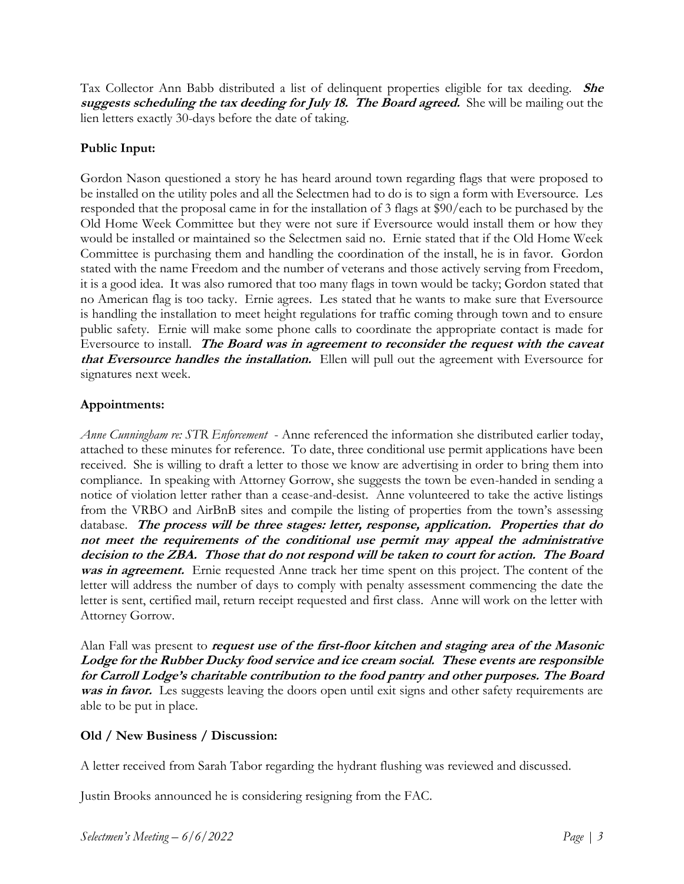Tax Collector Ann Babb distributed a list of delinquent properties eligible for tax deeding. **She suggests scheduling the tax deeding for July 18. The Board agreed.** She will be mailing out the lien letters exactly 30-days before the date of taking.

# **Public Input:**

Gordon Nason questioned a story he has heard around town regarding flags that were proposed to be installed on the utility poles and all the Selectmen had to do is to sign a form with Eversource. Les responded that the proposal came in for the installation of 3 flags at \$90/each to be purchased by the Old Home Week Committee but they were not sure if Eversource would install them or how they would be installed or maintained so the Selectmen said no. Ernie stated that if the Old Home Week Committee is purchasing them and handling the coordination of the install, he is in favor. Gordon stated with the name Freedom and the number of veterans and those actively serving from Freedom, it is a good idea. It was also rumored that too many flags in town would be tacky; Gordon stated that no American flag is too tacky. Ernie agrees. Les stated that he wants to make sure that Eversource is handling the installation to meet height regulations for traffic coming through town and to ensure public safety. Ernie will make some phone calls to coordinate the appropriate contact is made for Eversource to install. **The Board was in agreement to reconsider the request with the caveat that Eversource handles the installation.** Ellen will pull out the agreement with Eversource for signatures next week.

## **Appointments:**

*Anne Cunningham re: STR Enforcement* - Anne referenced the information she distributed earlier today, attached to these minutes for reference. To date, three conditional use permit applications have been received. She is willing to draft a letter to those we know are advertising in order to bring them into compliance. In speaking with Attorney Gorrow, she suggests the town be even-handed in sending a notice of violation letter rather than a cease-and-desist. Anne volunteered to take the active listings from the VRBO and AirBnB sites and compile the listing of properties from the town's assessing database. **The process will be three stages: letter, response, application. Properties that do not meet the requirements of the conditional use permit may appeal the administrative decision to the ZBA. Those that do not respond will be taken to court for action. The Board was in agreement.** Ernie requested Anne track her time spent on this project. The content of the letter will address the number of days to comply with penalty assessment commencing the date the letter is sent, certified mail, return receipt requested and first class. Anne will work on the letter with Attorney Gorrow.

Alan Fall was present to **request use of the first-floor kitchen and staging area of the Masonic Lodge for the Rubber Ducky food service and ice cream social. These events are responsible for Carroll Lodge's charitable contribution to the food pantry and other purposes. The Board**  was in favor. Les suggests leaving the doors open until exit signs and other safety requirements are able to be put in place.

# **Old / New Business / Discussion:**

A letter received from Sarah Tabor regarding the hydrant flushing was reviewed and discussed.

Justin Brooks announced he is considering resigning from the FAC.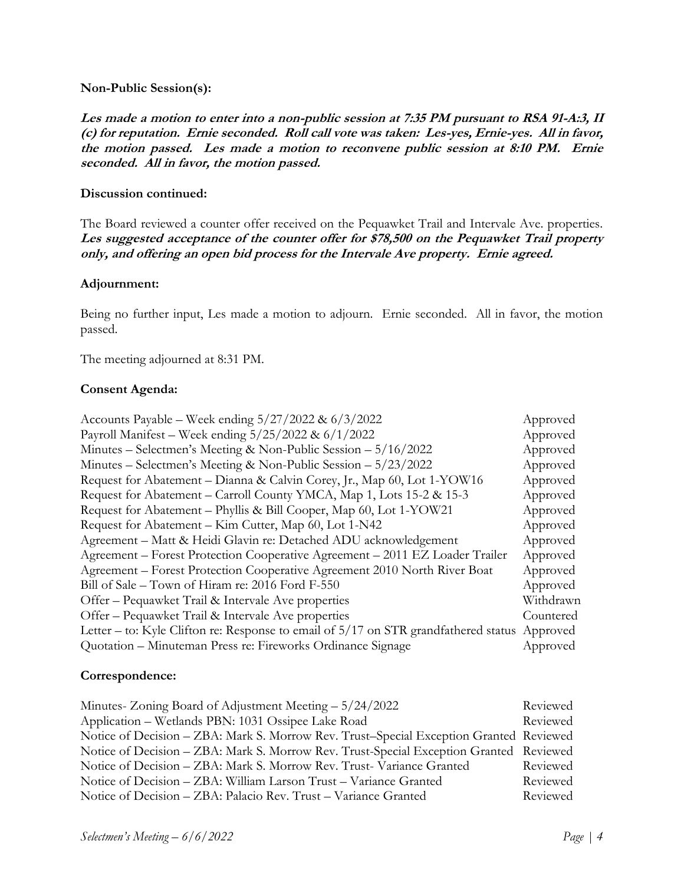#### **Non-Public Session(s):**

**Les made a motion to enter into a non-public session at 7:35 PM pursuant to RSA 91-A:3, II (c) for reputation. Ernie seconded. Roll call vote was taken: Les-yes, Ernie-yes. All in favor, the motion passed. Les made a motion to reconvene public session at 8:10 PM. Ernie seconded. All in favor, the motion passed.**

#### **Discussion continued:**

The Board reviewed a counter offer received on the Pequawket Trail and Intervale Ave. properties. **Les suggested acceptance of the counter offer for \$78,500 on the Pequawket Trail property only, and offering an open bid process for the Intervale Ave property. Ernie agreed.**

#### **Adjournment:**

Being no further input, Les made a motion to adjourn. Ernie seconded. All in favor, the motion passed.

The meeting adjourned at 8:31 PM.

#### **Consent Agenda:**

| Accounts Payable – Week ending $5/27/2022 \& 6/3/2022$                                | Approved  |
|---------------------------------------------------------------------------------------|-----------|
| Payroll Manifest – Week ending 5/25/2022 & 6/1/2022                                   | Approved  |
| Minutes – Selectmen's Meeting & Non-Public Session – 5/16/2022                        | Approved  |
| Minutes – Selectmen's Meeting & Non-Public Session – $5/23/2022$                      | Approved  |
| Request for Abatement - Dianna & Calvin Corey, Jr., Map 60, Lot 1-YOW16               | Approved  |
| Request for Abatement – Carroll County YMCA, Map 1, Lots 15-2 & 15-3                  | Approved  |
| Request for Abatement – Phyllis & Bill Cooper, Map 60, Lot 1-YOW21                    | Approved  |
| Request for Abatement – Kim Cutter, Map 60, Lot 1-N42                                 | Approved  |
| Agreement - Matt & Heidi Glavin re: Detached ADU acknowledgement                      | Approved  |
| Agreement – Forest Protection Cooperative Agreement – 2011 EZ Loader Trailer          | Approved  |
| Agreement - Forest Protection Cooperative Agreement 2010 North River Boat             | Approved  |
| Bill of Sale – Town of Hiram re: 2016 Ford F-550                                      | Approved  |
| Offer – Pequawket Trail & Intervale Ave properties                                    | Withdrawn |
| Offer – Pequawket Trail & Intervale Ave properties                                    | Countered |
| Letter – to: Kyle Clifton re: Response to email of $5/17$ on STR grandfathered status | Approved  |
| Quotation - Minuteman Press re: Fireworks Ordinance Signage                           | Approved  |

#### **Correspondence:**

| Minutes- Zoning Board of Adjustment Meeting $-5/24/2022$                               | Reviewed |
|----------------------------------------------------------------------------------------|----------|
| Application - Wetlands PBN: 1031 Ossipee Lake Road                                     | Reviewed |
| Notice of Decision – ZBA: Mark S. Morrow Rev. Trust–Special Exception Granted Reviewed |          |
| Notice of Decision – ZBA: Mark S. Morrow Rev. Trust-Special Exception Granted Reviewed |          |
| Notice of Decision – ZBA: Mark S. Morrow Rev. Trust-Variance Granted                   | Reviewed |
| Notice of Decision – ZBA: William Larson Trust – Variance Granted                      | Reviewed |
| Notice of Decision – ZBA: Palacio Rev. Trust – Variance Granted                        | Reviewed |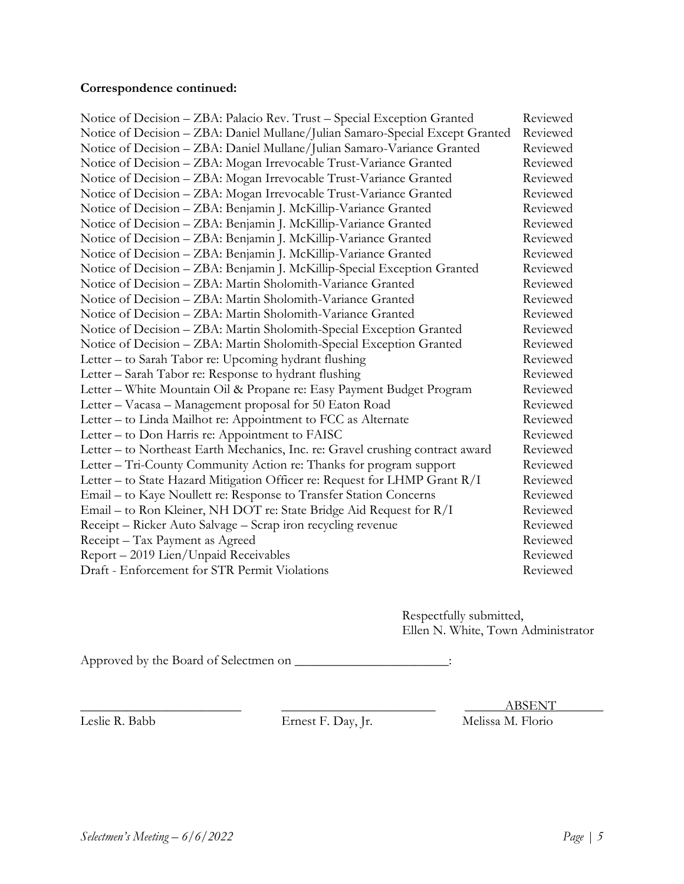# **Correspondence continued:**

| Notice of Decision - ZBA: Palacio Rev. Trust - Special Exception Granted       | Reviewed |
|--------------------------------------------------------------------------------|----------|
| Notice of Decision - ZBA: Daniel Mullane/Julian Samaro-Special Except Granted  | Reviewed |
| Notice of Decision - ZBA: Daniel Mullane/Julian Samaro-Variance Granted        | Reviewed |
| Notice of Decision - ZBA: Mogan Irrevocable Trust-Variance Granted             | Reviewed |
| Notice of Decision - ZBA: Mogan Irrevocable Trust-Variance Granted             | Reviewed |
| Notice of Decision - ZBA: Mogan Irrevocable Trust-Variance Granted             | Reviewed |
| Notice of Decision - ZBA: Benjamin J. McKillip-Variance Granted                | Reviewed |
| Notice of Decision - ZBA: Benjamin J. McKillip-Variance Granted                | Reviewed |
| Notice of Decision - ZBA: Benjamin J. McKillip-Variance Granted                | Reviewed |
| Notice of Decision - ZBA: Benjamin J. McKillip-Variance Granted                | Reviewed |
| Notice of Decision - ZBA: Benjamin J. McKillip-Special Exception Granted       | Reviewed |
| Notice of Decision - ZBA: Martin Sholomith-Variance Granted                    | Reviewed |
| Notice of Decision - ZBA: Martin Sholomith-Variance Granted                    | Reviewed |
| Notice of Decision - ZBA: Martin Sholomith-Variance Granted                    | Reviewed |
| Notice of Decision - ZBA: Martin Sholomith-Special Exception Granted           | Reviewed |
| Notice of Decision - ZBA: Martin Sholomith-Special Exception Granted           | Reviewed |
| Letter – to Sarah Tabor re: Upcoming hydrant flushing                          | Reviewed |
| Letter - Sarah Tabor re: Response to hydrant flushing                          | Reviewed |
| Letter – White Mountain Oil & Propane re: Easy Payment Budget Program          | Reviewed |
| Letter - Vacasa - Management proposal for 50 Eaton Road                        | Reviewed |
| Letter - to Linda Mailhot re: Appointment to FCC as Alternate                  | Reviewed |
| Letter - to Don Harris re: Appointment to FAISC                                | Reviewed |
| Letter - to Northeast Earth Mechanics, Inc. re: Gravel crushing contract award | Reviewed |
| Letter – Tri-County Community Action re: Thanks for program support            | Reviewed |
| Letter - to State Hazard Mitigation Officer re: Request for LHMP Grant R/I     | Reviewed |
| Email - to Kaye Noullett re: Response to Transfer Station Concerns             | Reviewed |
| Email – to Ron Kleiner, NH DOT re: State Bridge Aid Request for R/I            | Reviewed |
| Receipt – Ricker Auto Salvage – Scrap iron recycling revenue                   | Reviewed |
| Receipt - Tax Payment as Agreed                                                | Reviewed |
| Report - 2019 Lien/Unpaid Receivables                                          | Reviewed |
| Draft - Enforcement for STR Permit Violations                                  | Reviewed |

Respectfully submitted, Ellen N. White, Town Administrator

Approved by the Board of Selectmen on \_\_\_\_\_\_\_\_\_\_\_\_\_\_\_\_\_\_\_\_\_:

Ernest F. Day, Jr.

\_\_\_\_\_\_\_\_\_\_\_\_\_\_\_\_\_\_\_\_\_\_\_\_ \_\_\_\_\_\_\_\_\_\_\_\_\_\_\_\_\_\_\_\_\_\_\_ \_\_\_\_\_\_ABSENT\_\_\_\_\_\_\_